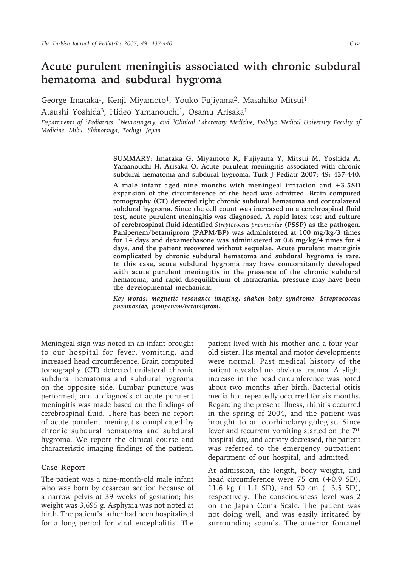# **Acute purulent meningitis associated with chronic subdural hematoma and subdural hygroma**

George Imataka<sup>1</sup>, Kenji Miyamoto<sup>1</sup>, Youko Fujiyama<sup>2</sup>, Masahiko Mitsui<sup>1</sup> Atsushi Yoshida<sup>3</sup>, Hideo Yamanouchi<sup>1</sup>, Osamu Arisaka<sup>1</sup>

*Departments of 1Pediatrics, 2Neurosurgery, and 3Clinical Laboratory Medicine, Dokkyo Medical University Faculty of Medicine, Mibu, Shimotsuga, Tochigi, Japan*

> **SUMMARY: Imataka G, Miyamoto K, Fujiyama Y, Mitsui M, Yoshida A, Yamanouchi H, Arisaka O. Acute purulent meningitis associated with chronic subdural hematoma and subdural hygroma. Turk J Pediatr 2007; 49: 437-440.**

> **A male infant aged nine months with meningeal irritation and +3.5SD expansion of the circumference of the head was admitted. Brain computed tomography (CT) detected right chronic subdural hematoma and contralateral subdural hygroma. Since the cell count was increased on a cerebrospinal fluid test, acute purulent meningitis was diagnosed. A rapid latex test and culture of cerebrospinal fluid identified** *Streptococcus pneumoniae* **(PSSP) as the pathogen. Panipenem/betamiprom (PAPM/BP) was administered at 100 mg/kg/3 times for 14 days and dexamethasone was administered at 0.6 mg/kg/4 times for 4 days, and the patient recovered without sequelae. Acute purulent meningitis complicated by chronic subdural hematoma and subdural hygroma is rare. In this case, acute subdural hygroma may have concomitantly developed with acute purulent meningitis in the presence of the chronic subdural hematoma, and rapid disequilibrium of intracranial pressure may have been the developmental mechanism.**

> *Key words: magnetic resonance imaging, shaken baby syndrome, Streptococcus pneumoniae, panipenem/betamiprom.*

Meningeal sign was noted in an infant brought to our hospital for fever, vomiting, and increased head circumference. Brain computed tomography (CT) detected unilateral chronic subdural hematoma and subdural hygroma on the opposite side. Lumbar puncture was performed, and a diagnosis of acute purulent meningitis was made based on the findings of cerebrospinal fluid. There has been no report of acute purulent meningitis complicated by chronic subdural hematoma and subdural hygroma. We report the clinical course and characteristic imaging findings of the patient.

#### **Case Report**

The patient was a nine-month-old male infant who was born by cesarean section because of a narrow pelvis at 39 weeks of gestation; his weight was 3,695 g. Asphyxia was not noted at birth. The patient's father had been hospitalized for a long period for viral encephalitis. The

patient lived with his mother and a four-yearold sister. His mental and motor developments were normal. Past medical history of the patient revealed no obvious trauma. A slight increase in the head circumference was noted about two months after birth. Bacterial otitis media had repeatedly occurred for six months. Regarding the present illness, rhinitis occurred in the spring of 2004, and the patient was brought to an otorhinolaryngologist. Since fever and recurrent vomiting started on the 7th hospital day, and activity decreased, the patient was referred to the emergency outpatient department of our hospital, and admitted.

At admission, the length, body weight, and head circumference were 75 cm (+0.9 SD), 11.6 kg (+1.1 SD), and 50 cm (+3.5 SD), respectively. The consciousness level was 2 on the Japan Coma Scale. The patient was not doing well, and was easily irritated by surrounding sounds. The anterior fontanel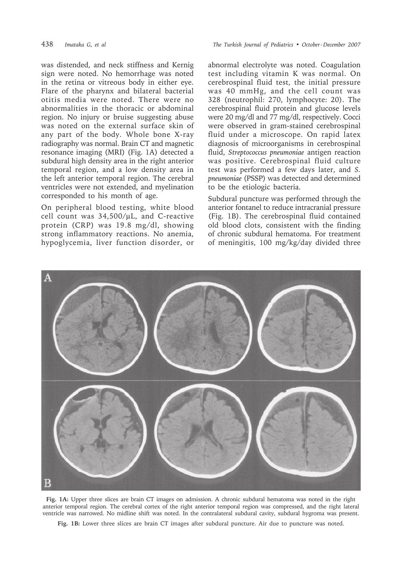was distended, and neck stiffness and Kernig sign were noted. No hemorrhage was noted in the retina or vitreous body in either eye. Flare of the pharynx and bilateral bacterial otitis media were noted. There were no abnormalities in the thoracic or abdominal region. No injury or bruise suggesting abuse was noted on the external surface skin of any part of the body. Whole bone X-ray radiography was normal. Brain CT and magnetic resonance imaging (MRI) (Fig. 1A) detected a subdural high density area in the right anterior temporal region, and a low density area in the left anterior temporal region. The cerebral ventricles were not extended, and myelination corresponded to his month of age.

On peripheral blood testing, white blood cell count was  $34,500/\mu L$ , and C-reactive protein (CRP) was 19.8 mg/dl, showing strong inflammatory reactions. No anemia, hypoglycemia, liver function disorder, or

438 *Imataka G, et al The Turkish Journal of Pediatrics • October - December 2007*

abnormal electrolyte was noted. Coagulation test including vitamin K was normal. On cerebrospinal fluid test, the initial pressure was 40 mmHg, and the cell count was 328 (neutrophil: 270, lymphocyte: 20). The cerebrospinal fluid protein and glucose levels were 20 mg/dl and 77 mg/dl, respectively. Cocci were observed in gram-stained cerebrospinal fluid under a microscope. On rapid latex diagnosis of microorganisms in cerebrospinal fluid, *Streptococcus pneumoniae* antigen reaction was positive. Cerebrospinal fluid culture test was performed a few days later, and *S. pneumoniae* (PSSP) was detected and determined to be the etiologic bacteria.

Subdural puncture was performed through the anterior fontanel to reduce intracranial pressure (Fig. 1B). The cerebrospinal fluid contained old blood clots, consistent with the finding of chronic subdural hematoma. For treatment of meningitis, 100 mg/kg/day divided three



**Fig. 1A:** Upper three slices are brain CT images on admission. A chronic subdural hematoma was noted in the right anterior temporal region. The cerebral cortex of the right anterior temporal region was compressed, and the right lateral ventricle was narrowed. No midline shift was noted. In the contralateral subdural cavity, subdural hygroma was present.

**Fig. 1B:** Lower three slices are brain CT images after subdural puncture. Air due to puncture was noted.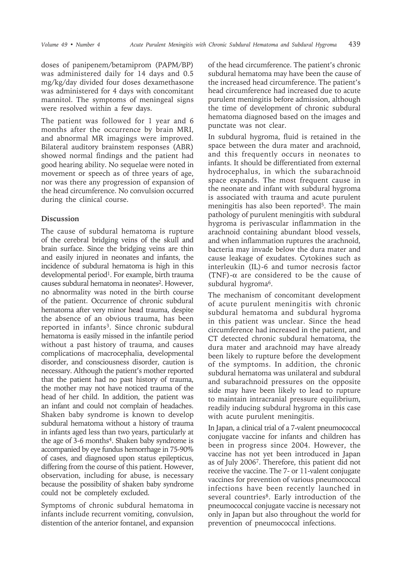doses of panipenem/betamiprom (PAPM/BP) was administered daily for 14 days and 0.5 mg/kg/day divided four doses dexamethasone was administered for 4 days with concomitant mannitol. The symptoms of meningeal signs were resolved within a few days.

The patient was followed for 1 year and 6 months after the occurrence by brain MRI, and abnormal MR imagings were improved. Bilateral auditory brainstem responses (ABR) showed normal findings and the patient had good hearing ability. No sequelae were noted in movement or speech as of three years of age, nor was there any progression of expansion of the head circumference. No convulsion occurred during the clinical course.

## **Discussion**

The cause of subdural hematoma is rupture of the cerebral bridging veins of the skull and brain surface. Since the bridging veins are thin and easily injured in neonates and infants, the incidence of subdural hematoma is high in this developmental period<sup>1</sup>. For example, birth trauma causes subdural hematoma in neonates<sup>2</sup>. However, no abnormality was noted in the birth course of the patient. Occurrence of chronic subdural hematoma after very minor head trauma, despite the absence of an obvious trauma, has been reported in infants<sup>3</sup>. Since chronic subdural hematoma is easily missed in the infantile period without a past history of trauma, and causes complications of macrocephalia, developmental disorder, and consciousness disorder, caution is necessary. Although the patient's mother reported that the patient had no past history of trauma, the mother may not have noticed trauma of the head of her child. In addition, the patient was an infant and could not complain of headaches. Shaken baby syndrome is known to develop subdural hematoma without a history of trauma in infants aged less than two years, particularly at the age of 3-6 months<sup>4</sup>. Shaken baby syndrome is accompanied by eye fundus hemorrhage in 75-90% of cases, and diagnosed upon status epilepticus, differing from the course of this patient. However, observation, including for abuse, is necessary because the possibility of shaken baby syndrome could not be completely excluded.

Symptoms of chronic subdural hematoma in infants include recurrent vomiting, convulsion, distention of the anterior fontanel, and expansion

of the head circumference. The patient's chronic subdural hematoma may have been the cause of the increased head circumference. The patient's head circumference had increased due to acute purulent meningitis before admission, although the time of development of chronic subdural hematoma diagnosed based on the images and punctate was not clear.

In subdural hygroma, fluid is retained in the space between the dura mater and arachnoid, and this frequently occurs in neonates to infants. It should be differentiated from external hydrocephalus, in which the subarachnoid space expands. The most frequent cause in the neonate and infant with subdural hygroma is associated with trauma and acute purulent meningitis has also been reported<sup>5</sup>. The main pathology of purulent meningitis with subdural hygroma is perivascular inflammation in the arachnoid containing abundant blood vessels, and when inflammation ruptures the arachnoid, bacteria may invade below the dura mater and cause leakage of exudates. Cytokines such as interleukin (IL)-6 and tumor necrosis factor (TNF)-α are considered to be the cause of subdural hygroma<sup>6</sup>.

The mechanism of concomitant development of acute purulent meningitis with chronic subdural hematoma and subdural hygroma in this patient was unclear. Since the head circumference had increased in the patient, and CT detected chronic subdural hematoma, the dura mater and arachnoid may have already been likely to rupture before the development of the symptoms. In addition, the chronic subdural hematoma was unilateral and subdural and subarachnoid pressures on the opposite side may have been likely to lead to rupture to maintain intracranial pressure equilibrium, readily inducing subdural hygroma in this case with acute purulent meningitis.

In Japan, a clinical trial of a 7-valent pneumococcal conjugate vaccine for infants and children has been in progress since 2004. However, the vaccine has not yet been introduced in Japan as of July 20067. Therefore, this patient did not receive the vaccine. The 7- or 11-valent conjugate vaccines for prevention of various pneumococcal infections have been recently launched in several countries<sup>8</sup>. Early introduction of the pneumococcal conjugate vaccine is necessary not only in Japan but also throughout the world for prevention of pneumococcal infections.